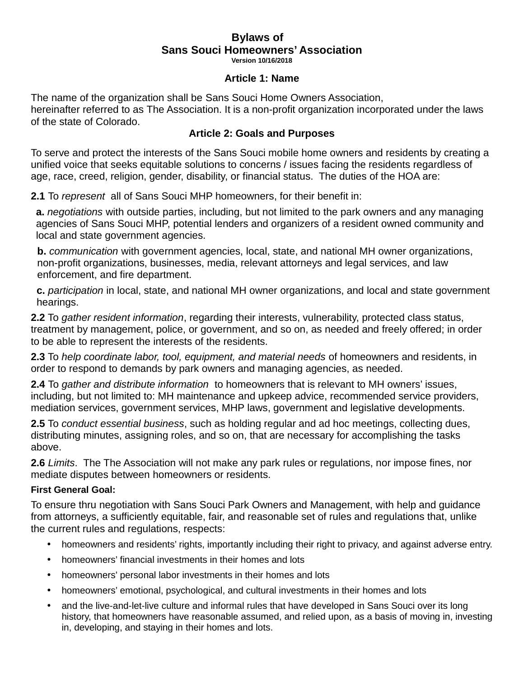#### **Bylaws of Sans Souci Homeowners' Association Version 10/16/2018**

#### **Article 1: Name**

The name of the organization shall be Sans Souci Home Owners Association, hereinafter referred to as The Association. It is a non-profit organization incorporated under the laws of the state of Colorado.

## **Article 2: Goals and Purposes**

To serve and protect the interests of the Sans Souci mobile home owners and residents by creating a unified voice that seeks equitable solutions to concerns / issues facing the residents regardless of age, race, creed, religion, gender, disability, or financial status. The duties of the HOA are:

**2.1** To *represent* all of Sans Souci MHP homeowners, for their benefit in:

**a.** *negotiations* with outside parties, including, but not limited to the park owners and any managing agencies of Sans Souci MHP, potential lenders and organizers of a resident owned community and local and state government agencies.

**b.** *communication* with government agencies, local, state, and national MH owner organizations, non-profit organizations, businesses, media, relevant attorneys and legal services, and law enforcement, and fire department.

**c.** *participation* in local, state, and national MH owner organizations, and local and state government hearings.

**2.2** To *gather resident information*, regarding their interests, vulnerability, protected class status, treatment by management, police, or government, and so on, as needed and freely offered; in order to be able to represent the interests of the residents.

**2.3** To *help coordinate labor, tool, equipment, and material needs* of homeowners and residents, in order to respond to demands by park owners and managing agencies, as needed.

**2.4** To *gather and distribute information* to homeowners that is relevant to MH owners' issues, including, but not limited to: MH maintenance and upkeep advice, recommended service providers, mediation services, government services, MHP laws, government and legislative developments.

**2.5** To *conduct essential business*, such as holding regular and ad hoc meetings, collecting dues, distributing minutes, assigning roles, and so on, that are necessary for accomplishing the tasks above.

**2.6** *Limits*. The The Association will not make any park rules or regulations, nor impose fines, nor mediate disputes between homeowners or residents.

### **First General Goal:**

To ensure thru negotiation with Sans Souci Park Owners and Management, with help and guidance from attorneys, a sufficiently equitable, fair, and reasonable set of rules and regulations that, unlike the current rules and regulations, respects:

- homeowners and residents' rights, importantly including their right to privacy, and against adverse entry.
- homeowners' financial investments in their homes and lots
- homeowners' personal labor investments in their homes and lots
- homeowners' emotional, psychological, and cultural investments in their homes and lots
- and the live-and-let-live culture and informal rules that have developed in Sans Souci over its long history, that homeowners have reasonable assumed, and relied upon, as a basis of moving in, investing in, developing, and staying in their homes and lots.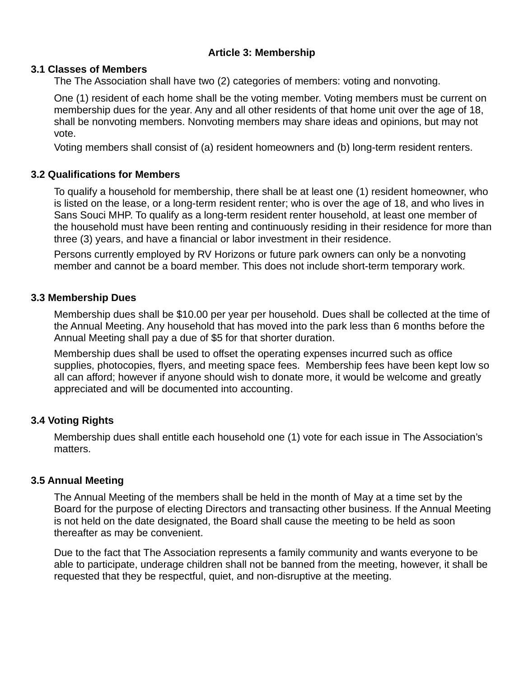# **Article 3: Membership**

## **3.1 Classes of Members**

The The Association shall have two (2) categories of members: voting and nonvoting.

One (1) resident of each home shall be the voting member. Voting members must be current on membership dues for the year. Any and all other residents of that home unit over the age of 18, shall be nonvoting members. Nonvoting members may share ideas and opinions, but may not vote.

Voting members shall consist of (a) resident homeowners and (b) long-term resident renters.

## **3.2 Qualifications for Members**

To qualify a household for membership, there shall be at least one (1) resident homeowner, who is listed on the lease, or a long-term resident renter; who is over the age of 18, and who lives in Sans Souci MHP. To qualify as a long-term resident renter household, at least one member of the household must have been renting and continuously residing in their residence for more than three (3) years, and have a financial or labor investment in their residence.

Persons currently employed by RV Horizons or future park owners can only be a nonvoting member and cannot be a board member. This does not include short-term temporary work.

## **3.3 Membership Dues**

Membership dues shall be \$10.00 per year per household. Dues shall be collected at the time of the Annual Meeting. Any household that has moved into the park less than 6 months before the Annual Meeting shall pay a due of \$5 for that shorter duration.

Membership dues shall be used to offset the operating expenses incurred such as office supplies, photocopies, flyers, and meeting space fees. Membership fees have been kept low so all can afford; however if anyone should wish to donate more, it would be welcome and greatly appreciated and will be documented into accounting.

# **3.4 Voting Rights**

Membership dues shall entitle each household one (1) vote for each issue in The Association's matters.

# **3.5 Annual Meeting**

The Annual Meeting of the members shall be held in the month of May at a time set by the Board for the purpose of electing Directors and transacting other business. If the Annual Meeting is not held on the date designated, the Board shall cause the meeting to be held as soon thereafter as may be convenient.

Due to the fact that The Association represents a family community and wants everyone to be able to participate, underage children shall not be banned from the meeting, however, it shall be requested that they be respectful, quiet, and non-disruptive at the meeting.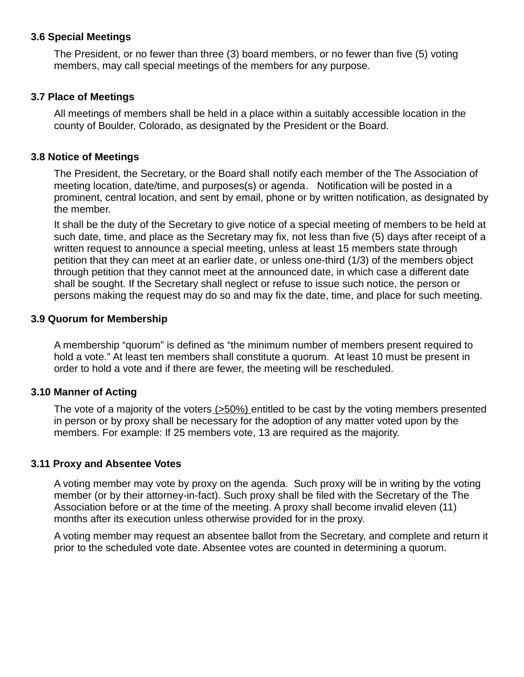### **3.6 Special Meetings**

The President, or no fewer than three (3) board members, or no fewer than five (5) voting members, may call special meetings of the members for any purpose.

#### **3.7 Place of Meetings**

All meetings of members shall be held in a place within a suitably accessible location in the county of Boulder, Colorado, as designated by the President or the Board.

### **3.8 Notice of Meetings**

The President, the Secretary, or the Board shall notify each member of the The Association of meeting location, date/time, and purposes(s) or agenda. Notification will be posted in a prominent, central location, and sent by email, phone or by written notification, as designated by the member.

It shall be the duty of the Secretary to give notice of a special meeting of members to be held at such date, time, and place as the Secretary may fix, not less than five (5) days after receipt of a written request to announce a special meeting, unless at least 15 members state through petition that they can meet at an earlier date, or unless one-third (1/3) of the members object through petition that they cannot meet at the announced date, in which case a different date shall be sought. If the Secretary shall neglect or refuse to issue such notice, the person or persons making the request may do so and may fix the date, time, and place for such meeting.

#### **3.9 Quorum for Membership**

A membership "quorum" is defined as "the minimum number of members present required to hold a vote." At least ten members shall constitute a quorum. At least 10 must be present in order to hold a vote and if there are fewer, the meeting will be rescheduled.

### **3.10 Manner of Acting**

The vote of a majority of the voters (>50%) entitled to be cast by the voting members presented in person or by proxy shall be necessary for the adoption of any matter voted upon by the members. For example: If 25 members vote, 13 are required as the majority.

### **3.11 Proxy and Absentee Votes**

A voting member may vote by proxy on the agenda. Such proxy will be in writing by the voting member (or by their attorney-in-fact). Such proxy shall be filed with the Secretary of the The Association before or at the time of the meeting. A proxy shall become invalid eleven (11) months after its execution unless otherwise provided for in the proxy.

A voting member may request an absentee ballot from the Secretary, and complete and return it prior to the scheduled vote date. Absentee votes are counted in determining a quorum.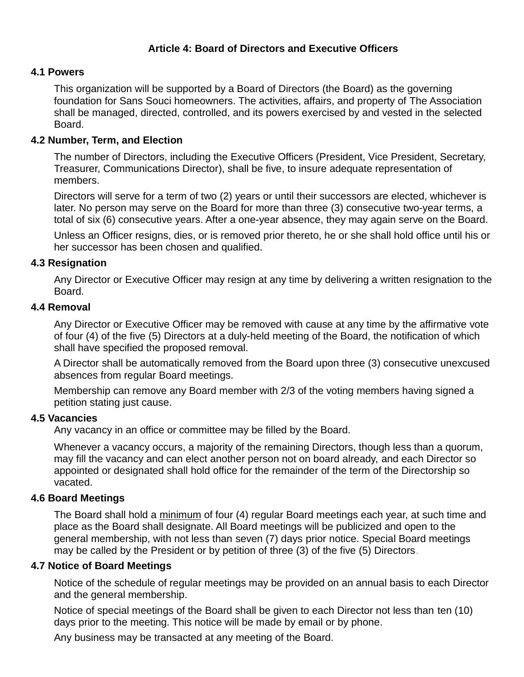# **Article 4: Board of Directors and Executive Officers**

### **4.1 Powers**

This organization will be supported by a Board of Directors (the Board) as the governing foundation for Sans Souci homeowners. The activities, affairs, and property of The Association shall be managed, directed, controlled, and its powers exercised by and vested in the selected Board.

### **4.2 Number, Term, and Election**

The number of Directors, including the Executive Officers (President, Vice President, Secretary, Treasurer, Communications Director), shall be five, to insure adequate representation of members.

Directors will serve for a term of two (2) years or until their successors are elected, whichever is later. No person may serve on the Board for more than three (3) consecutive two-year terms, a total of six (6) consecutive years. After a one-year absence, they may again serve on the Board.

Unless an Officer resigns, dies, or is removed prior thereto, he or she shall hold office until his or her successor has been chosen and qualified.

#### **4.3 Resignation**

Any Director or Executive Officer may resign at any time by delivering a written resignation to the Board.

#### **4.4 Removal**

Any Director or Executive Officer may be removed with cause at any time by the affirmative vote of four (4) of the five (5) Directors at a duly-held meeting of the Board, the notification of which shall have specified the proposed removal.

A Director shall be automatically removed from the Board upon three (3) consecutive unexcused absences from regular Board meetings.

Membership can remove any Board member with 2/3 of the voting members having signed a petition stating just cause.

#### **4.5 Vacancies**

Any vacancy in an office or committee may be filled by the Board.

Whenever a vacancy occurs, a majority of the remaining Directors, though less than a quorum, may fill the vacancy and can elect another person not on board already, and each Director so appointed or designated shall hold office for the remainder of the term of the Directorship so vacated.

#### **4.6 Board Meetings**

The Board shall hold a minimum of four (4) regular Board meetings each year, at such time and place as the Board shall designate. All Board meetings will be publicized and open to the general membership, with not less than seven (7) days prior notice. Special Board meetings may be called by the President or by petition of three (3) of the five (5) Directors.

#### **4.7 Notice of Board Meetings**

Notice of the schedule of regular meetings may be provided on an annual basis to each Director and the general membership.

Notice of special meetings of the Board shall be given to each Director not less than ten (10) days prior to the meeting. This notice will be made by email or by phone.

Any business may be transacted at any meeting of the Board.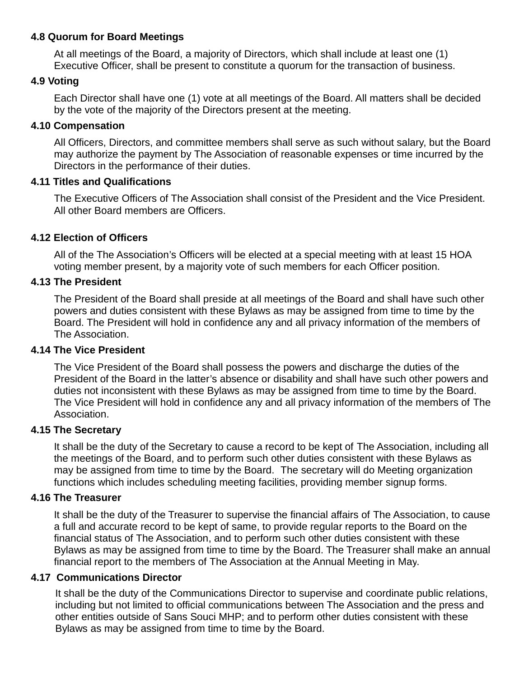## **4.8 Quorum for Board Meetings**

At all meetings of the Board, a majority of Directors, which shall include at least one (1) Executive Officer, shall be present to constitute a quorum for the transaction of business.

## **4.9 Voting**

Each Director shall have one (1) vote at all meetings of the Board. All matters shall be decided by the vote of the majority of the Directors present at the meeting.

## **4.10 Compensation**

All Officers, Directors, and committee members shall serve as such without salary, but the Board may authorize the payment by The Association of reasonable expenses or time incurred by the Directors in the performance of their duties.

### **4.11 Titles and Qualifications**

The Executive Officers of The Association shall consist of the President and the Vice President. All other Board members are Officers.

# **4.12 Election of Officers**

All of the The Association's Officers will be elected at a special meeting with at least 15 HOA voting member present, by a majority vote of such members for each Officer position.

# **4.13 The President**

The President of the Board shall preside at all meetings of the Board and shall have such other powers and duties consistent with these Bylaws as may be assigned from time to time by the Board. The President will hold in confidence any and all privacy information of the members of The Association.

### **4.14 The Vice President**

The Vice President of the Board shall possess the powers and discharge the duties of the President of the Board in the latter's absence or disability and shall have such other powers and duties not inconsistent with these Bylaws as may be assigned from time to time by the Board. The Vice President will hold in confidence any and all privacy information of the members of The Association.

### **4.15 The Secretary**

It shall be the duty of the Secretary to cause a record to be kept of The Association, including all the meetings of the Board, and to perform such other duties consistent with these Bylaws as may be assigned from time to time by the Board. The secretary will do Meeting organization functions which includes scheduling meeting facilities, providing member signup forms.

### **4.16 The Treasurer**

It shall be the duty of the Treasurer to supervise the financial affairs of The Association, to cause a full and accurate record to be kept of same, to provide regular reports to the Board on the financial status of The Association, and to perform such other duties consistent with these Bylaws as may be assigned from time to time by the Board. The Treasurer shall make an annual financial report to the members of The Association at the Annual Meeting in May.

### **4.17 Communications Director**

It shall be the duty of the Communications Director to supervise and coordinate public relations, including but not limited to official communications between The Association and the press and other entities outside of Sans Souci MHP; and to perform other duties consistent with these Bylaws as may be assigned from time to time by the Board.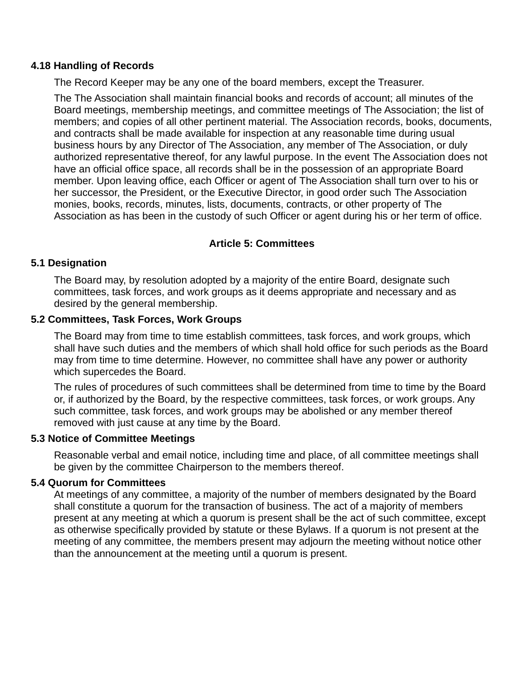### **4.18 Handling of Records**

The Record Keeper may be any one of the board members, except the Treasurer.

The The Association shall maintain financial books and records of account; all minutes of the Board meetings, membership meetings, and committee meetings of The Association; the list of members; and copies of all other pertinent material. The Association records, books, documents, and contracts shall be made available for inspection at any reasonable time during usual business hours by any Director of The Association, any member of The Association, or duly authorized representative thereof, for any lawful purpose. In the event The Association does not have an official office space, all records shall be in the possession of an appropriate Board member. Upon leaving office, each Officer or agent of The Association shall turn over to his or her successor, the President, or the Executive Director, in good order such The Association monies, books, records, minutes, lists, documents, contracts, or other property of The Association as has been in the custody of such Officer or agent during his or her term of office.

## **Article 5: Committees**

#### **5.1 Designation**

The Board may, by resolution adopted by a majority of the entire Board, designate such committees, task forces, and work groups as it deems appropriate and necessary and as desired by the general membership.

#### **5.2 Committees, Task Forces, Work Groups**

The Board may from time to time establish committees, task forces, and work groups, which shall have such duties and the members of which shall hold office for such periods as the Board may from time to time determine. However, no committee shall have any power or authority which supercedes the Board.

The rules of procedures of such committees shall be determined from time to time by the Board or, if authorized by the Board, by the respective committees, task forces, or work groups. Any such committee, task forces, and work groups may be abolished or any member thereof removed with just cause at any time by the Board.

#### **5.3 Notice of Committee Meetings**

Reasonable verbal and email notice, including time and place, of all committee meetings shall be given by the committee Chairperson to the members thereof.

#### **5.4 Quorum for Committees**

At meetings of any committee, a majority of the number of members designated by the Board shall constitute a quorum for the transaction of business. The act of a majority of members present at any meeting at which a quorum is present shall be the act of such committee, except as otherwise specifically provided by statute or these Bylaws. If a quorum is not present at the meeting of any committee, the members present may adjourn the meeting without notice other than the announcement at the meeting until a quorum is present.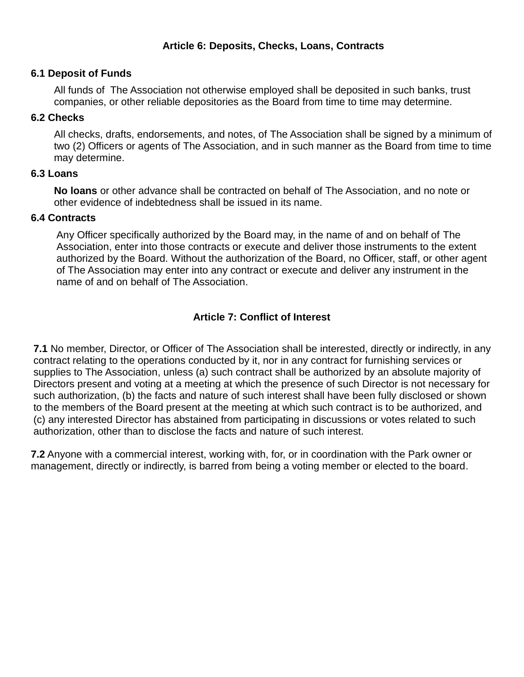## **Article 6: Deposits, Checks, Loans, Contracts**

#### **6.1 Deposit of Funds**

All funds of The Association not otherwise employed shall be deposited in such banks, trust companies, or other reliable depositories as the Board from time to time may determine.

#### **6.2 Checks**

All checks, drafts, endorsements, and notes, of The Association shall be signed by a minimum of two (2) Officers or agents of The Association, and in such manner as the Board from time to time may determine.

### **6.3 Loans**

**No loans** or other advance shall be contracted on behalf of The Association, and no note or other evidence of indebtedness shall be issued in its name.

#### **6.4 Contracts**

Any Officer specifically authorized by the Board may, in the name of and on behalf of The Association, enter into those contracts or execute and deliver those instruments to the extent authorized by the Board. Without the authorization of the Board, no Officer, staff, or other agent of The Association may enter into any contract or execute and deliver any instrument in the name of and on behalf of The Association.

# **Article 7: Conflict of Interest**

**7.1** No member, Director, or Officer of The Association shall be interested, directly or indirectly, in any contract relating to the operations conducted by it, nor in any contract for furnishing services or supplies to The Association, unless (a) such contract shall be authorized by an absolute majority of Directors present and voting at a meeting at which the presence of such Director is not necessary for such authorization, (b) the facts and nature of such interest shall have been fully disclosed or shown to the members of the Board present at the meeting at which such contract is to be authorized, and (c) any interested Director has abstained from participating in discussions or votes related to such authorization, other than to disclose the facts and nature of such interest.

**7.2** Anyone with a commercial interest, working with, for, or in coordination with the Park owner or management, directly or indirectly, is barred from being a voting member or elected to the board.